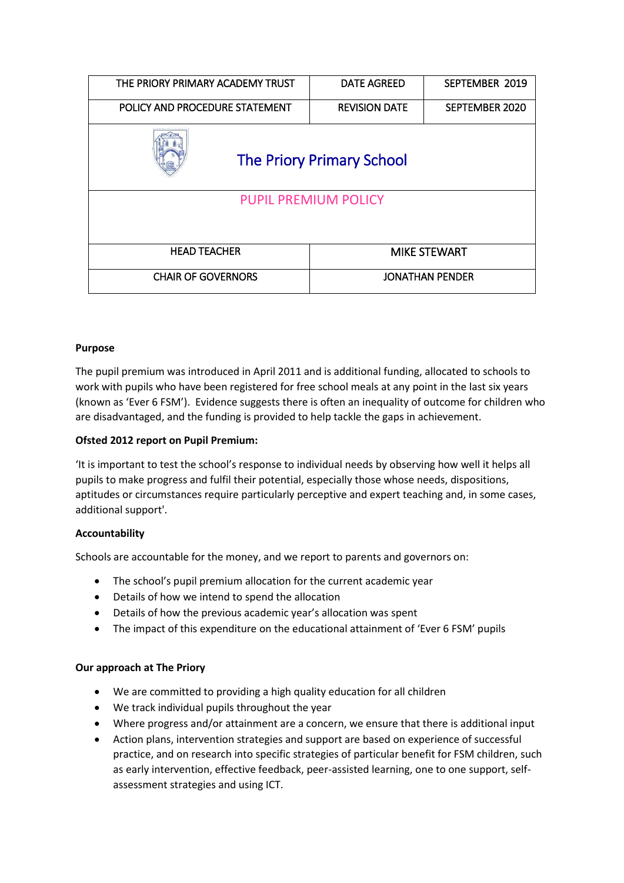| THE PRIORY PRIMARY ACADEMY TRUST | <b>DATE AGREED</b>     | SEPTEMBER 2019 |
|----------------------------------|------------------------|----------------|
| POLICY AND PROCEDURE STATEMENT   | <b>REVISION DATE</b>   | SEPTEMBER 2020 |
| <b>The Priory Primary School</b> |                        |                |
| <b>PUPIL PREMIUM POLICY</b>      |                        |                |
|                                  |                        |                |
| <b>HEAD TEACHER</b>              | <b>MIKE STEWART</b>    |                |
| <b>CHAIR OF GOVERNORS</b>        | <b>JONATHAN PENDER</b> |                |

## **Purpose**

The pupil premium was introduced in April 2011 and is additional funding, allocated to schools to work with pupils who have been registered for free school meals at any point in the last six years (known as 'Ever 6 FSM'). Evidence suggests there is often an inequality of outcome for children who are disadvantaged, and the funding is provided to help tackle the gaps in achievement.

# **Ofsted 2012 report on Pupil Premium:**

'It is important to test the school's response to individual needs by observing how well it helps all pupils to make progress and fulfil their potential, especially those whose needs, dispositions, aptitudes or circumstances require particularly perceptive and expert teaching and, in some cases, additional support'.

### **Accountability**

Schools are accountable for the money, and we report to parents and governors on:

- The school's pupil premium allocation for the current academic year
- Details of how we intend to spend the allocation
- Details of how the previous academic year's allocation was spent
- The impact of this expenditure on the educational attainment of 'Ever 6 FSM' pupils

### **Our approach at The Priory**

- We are committed to providing a high quality education for all children
- We track individual pupils throughout the year
- Where progress and/or attainment are a concern, we ensure that there is additional input
- Action plans, intervention strategies and support are based on experience of successful practice, and on research into specific strategies of particular benefit for FSM children, such as early intervention, effective feedback, peer-assisted learning, one to one support, selfassessment strategies and using ICT.